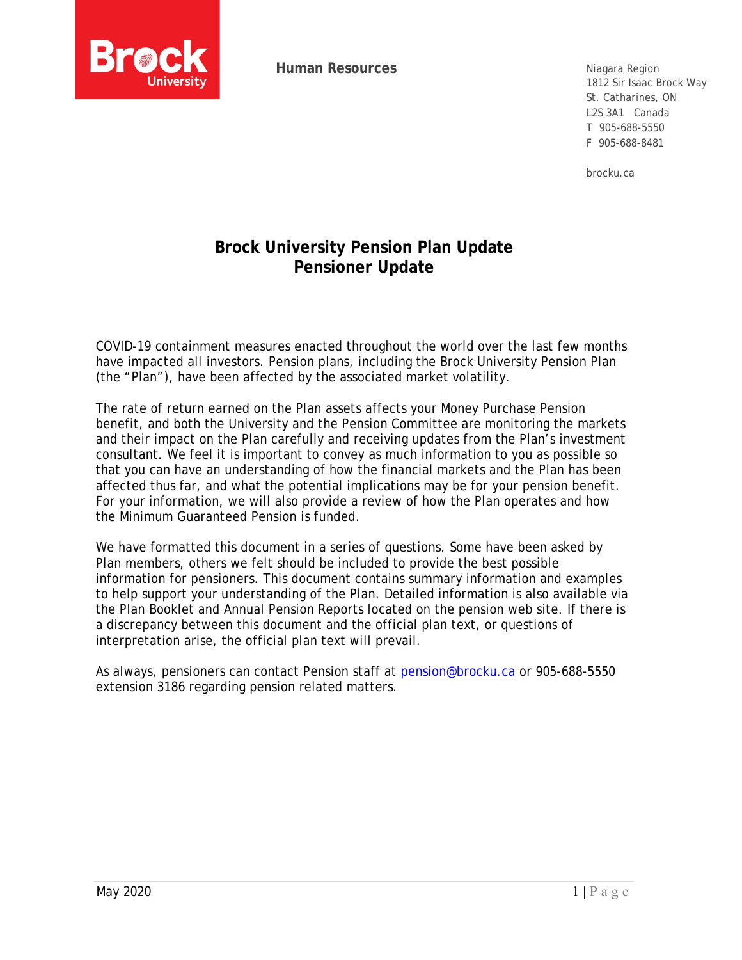

**Human Resources**

Niagara Region 1812 Sir Isaac Brock Way St. Catharines, ON L2S 3A1 Canada T 905-688-5550 F 905-688-8481

brocku.ca

# **Brock University Pension Plan Update Pensioner Update**

COVID-19 containment measures enacted throughout the world over the last few months have impacted all investors. Pension plans, including the Brock University Pension Plan (the "Plan"), have been affected by the associated market volatility.

The rate of return earned on the Plan assets affects your Money Purchase Pension benefit, and both the University and the Pension Committee are monitoring the markets and their impact on the Plan carefully and receiving updates from the Plan's investment consultant. We feel it is important to convey as much information to you as possible so that you can have an understanding of how the financial markets and the Plan has been affected thus far, and what the potential implications may be for your pension benefit. For your information, we will also provide a review of how the Plan operates and how the Minimum Guaranteed Pension is funded.

We have formatted this document in a series of questions. Some have been asked by Plan members, others we felt should be included to provide the best possible information for pensioners. This document contains summary information and examples to help support your understanding of the Plan. Detailed information is also available via the Plan Booklet and Annual Pension Reports located on the pension web site. If there is a discrepancy between this document and the official plan text, or questions of interpretation arise, the official plan text will prevail.

As always, pensioners can contact Pension staff at pension@brocku.ca or 905-688-5550 extension 3186 regarding pension related matters.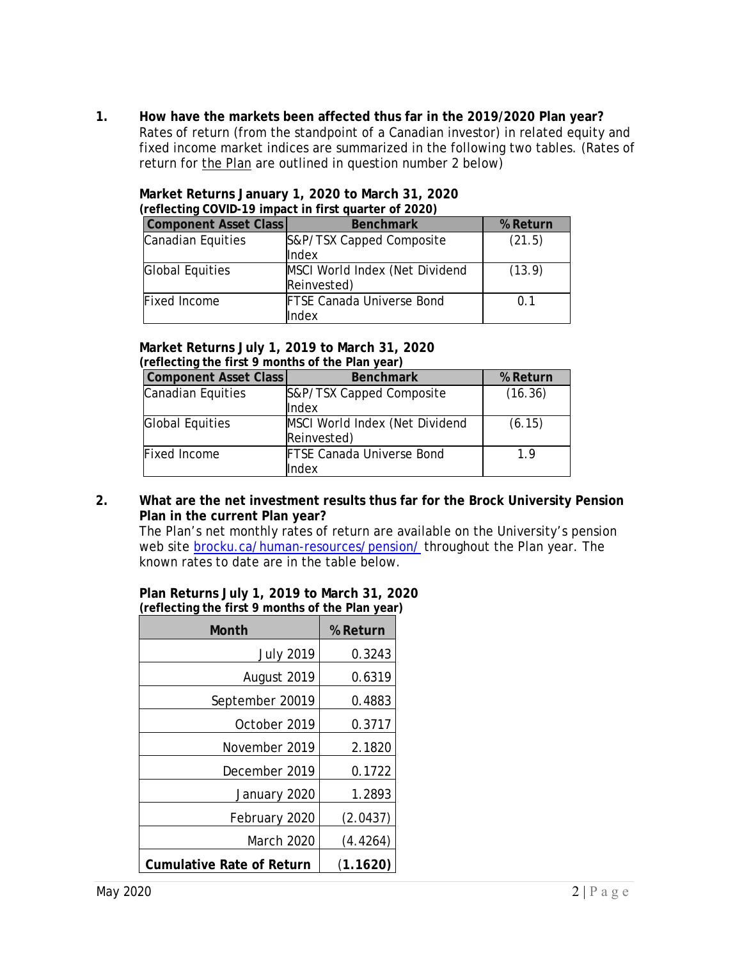**1. How have the markets been affected thus far in the 2019/2020 Plan year?**  Rates of return (from the standpoint of a Canadian investor) in related equity and fixed income market indices are summarized in the following two tables. (Rates of return for the Plan are outlined in question number 2 below)

| <b>I CHECHING COVID-17</b> IMPACT IN THIST QUALITY OF ZUZUT |                                               |                |  |  |
|-------------------------------------------------------------|-----------------------------------------------|----------------|--|--|
| <b>Component Asset Class</b>                                | <b>Benchmark</b>                              | % Return       |  |  |
| Canadian Equities                                           | S&P/TSX Capped Composite<br><b>Index</b>      | (21.5)         |  |  |
| Global Equities                                             | MSCI World Index (Net Dividend<br>Reinvested) | (13.9)         |  |  |
| Fixed Income                                                | <b>FTSE Canada Universe Bond</b><br>Index     | 0 <sub>1</sub> |  |  |

#### **Market Returns January 1, 2020 to March 31, 2020 (reflecting COVID-19 impact in first quarter of 2020)**

#### **Market Returns July 1, 2019 to March 31, 2020 (reflecting the first 9 months of the Plan year)**

| <b>Component Asset Class</b> | <b>Benchmark</b>                              | % Return |
|------------------------------|-----------------------------------------------|----------|
| <b>Canadian Equities</b>     | S&P/TSX Capped Composite<br>Index             | (16.36)  |
| <b>Global Equities</b>       | MSCI World Index (Net Dividend<br>Reinvested) | (6.15)   |
| Fixed Income                 | <b>FTSE Canada Universe Bond</b><br>Index     | 19       |

#### **2. What are the net investment results thus far for the Brock University Pension Plan in the current Plan year?**

The Plan's net monthly rates of return are available on the University's pension web site brocku.ca/human-resources/pension/ throughout the Plan year. The known rates to date are in the table below.

**Plan Returns July 1, 2019 to March 31, 2020 (reflecting the first 9 months of the Plan year)** 

| Month                            | % Return |
|----------------------------------|----------|
| <b>July 2019</b>                 | 0.3243   |
| August 2019                      | 0.6319   |
| September 20019                  | 0.4883   |
| October 2019                     | 0.3717   |
| November 2019                    | 2.1820   |
| December 2019                    | 0.1722   |
| January 2020                     | 1.2893   |
| February 2020                    | (2.0437) |
| March 2020                       | (4.4264) |
| <b>Cumulative Rate of Return</b> | (1.1620) |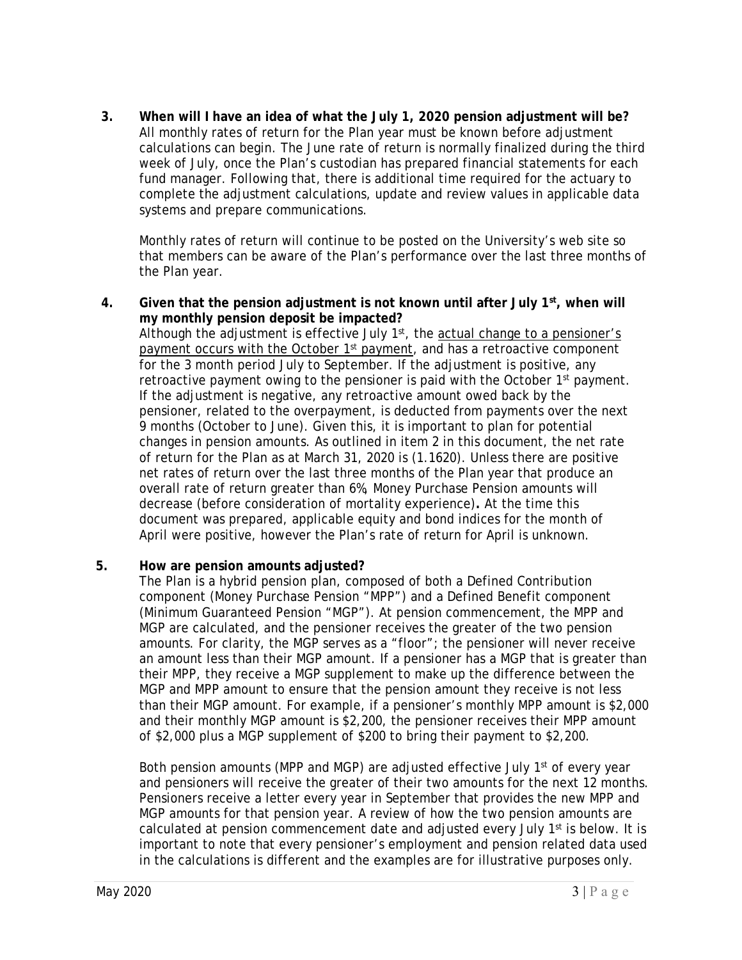**3. When will I have an idea of what the July 1, 2020 pension adjustment will be?**  All monthly rates of return for the Plan year must be known before adjustment calculations can begin. The June rate of return is normally finalized during the third week of July, once the Plan's custodian has prepared financial statements for each fund manager. Following that, there is additional time required for the actuary to complete the adjustment calculations, update and review values in applicable data systems and prepare communications.

Monthly rates of return will continue to be posted on the University's web site so that members can be aware of the Plan's performance over the last three months of the Plan year.

**4. Given that the pension adjustment is not known until after July 1st, when will my monthly pension deposit be impacted?**  Although the adjustment is effective July 1<sup>st</sup>, the actual change to a pensioner's payment occurs with the October  $1<sup>st</sup>$  payment, and has a retroactive component for the 3 month period July to September. If the adjustment is positive, any retroactive payment owing to the pensioner is paid with the October 1<sup>st</sup> payment. If the adjustment is negative, any retroactive amount owed back by the pensioner, related to the overpayment, is deducted from payments over the next 9 months (October to June). Given this, it is important to plan for potential changes in pension amounts. As outlined in item 2 in this document, the net rate of return for the Plan as at March 31, 2020 is (1.1620). Unless there are positive net rates of return over the last three months of the Plan year that produce an overall rate of return greater than 6%, Money Purchase Pension amounts will decrease (before consideration of mortality experience)**.** At the time this document was prepared, applicable equity and bond indices for the month of April were positive, however the Plan's rate of return for April is unknown.

## **5. How are pension amounts adjusted?**

The Plan is a hybrid pension plan, composed of both a Defined Contribution component (Money Purchase Pension "MPP") and a Defined Benefit component (Minimum Guaranteed Pension "MGP"). At pension commencement, the MPP and MGP are calculated, and the pensioner receives the greater of the two pension amounts. For clarity, the MGP serves as a "floor"; the pensioner will never receive an amount less than their MGP amount. If a pensioner has a MGP that is greater than their MPP, they receive a MGP supplement to make up the difference between the MGP and MPP amount to ensure that the pension amount they receive is not less than their MGP amount. For example, if a pensioner's monthly MPP amount is \$2,000 and their monthly MGP amount is \$2,200, the pensioner receives their MPP amount of \$2,000 plus a MGP supplement of \$200 to bring their payment to \$2,200.

Both pension amounts (MPP and MGP) are adjusted effective July  $1<sup>st</sup>$  of every year and pensioners will receive the greater of their two amounts for the next 12 months. Pensioners receive a letter every year in September that provides the new MPP and MGP amounts for that pension year. A review of how the two pension amounts are calculated at pension commencement date and adjusted every July  $1<sup>st</sup>$  is below. It is important to note that every pensioner's employment and pension related data used in the calculations is different and the examples are for illustrative purposes only.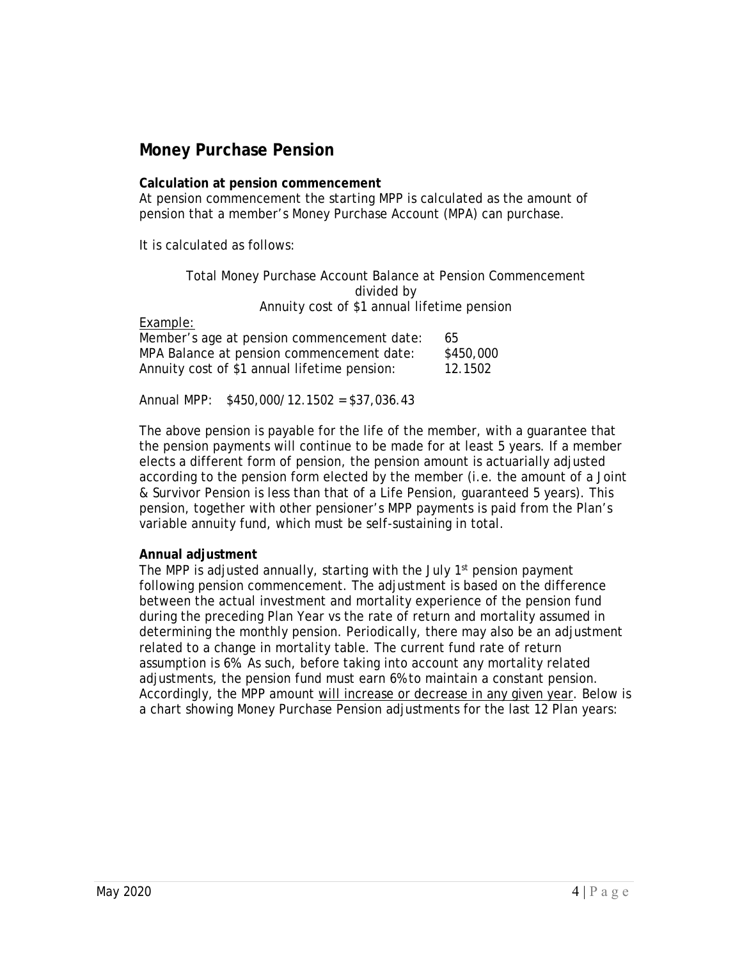## **Money Purchase Pension**

#### **Calculation at pension commencement**

At pension commencement the starting MPP is calculated as the amount of pension that a member's Money Purchase Account (MPA) can purchase.

It is calculated as follows:

Total Money Purchase Account Balance at Pension Commencement divided by Annuity cost of \$1 annual lifetime pension

Example:

| Member's age at pension commencement date:   | -65       |
|----------------------------------------------|-----------|
| MPA Balance at pension commencement date:    | \$450,000 |
| Annuity cost of \$1 annual lifetime pension: | 12.1502   |

Annual MPP: \$450,000/12.1502 = \$37,036.43

The above pension is payable for the life of the member, with a guarantee that the pension payments will continue to be made for at least 5 years. If a member elects a different form of pension, the pension amount is actuarially adjusted according to the pension form elected by the member (i.e. the amount of a Joint & Survivor Pension is less than that of a Life Pension, guaranteed 5 years). This pension, together with other pensioner's MPP payments is paid from the Plan's variable annuity fund, which must be self-sustaining in total.

#### **Annual adjustment**

The MPP is adjusted annually, starting with the July 1<sup>st</sup> pension payment following pension commencement. The adjustment is based on the difference between the actual investment and mortality experience of the pension fund during the preceding Plan Year vs the rate of return and mortality assumed in determining the monthly pension. Periodically, there may also be an adjustment related to a change in mortality table. The current fund rate of return assumption is 6%. As such, before taking into account any mortality related adjustments, the pension fund must earn 6% to maintain a constant pension. Accordingly, the MPP amount will increase or decrease in any given year. Below is a chart showing Money Purchase Pension adjustments for the last 12 Plan years: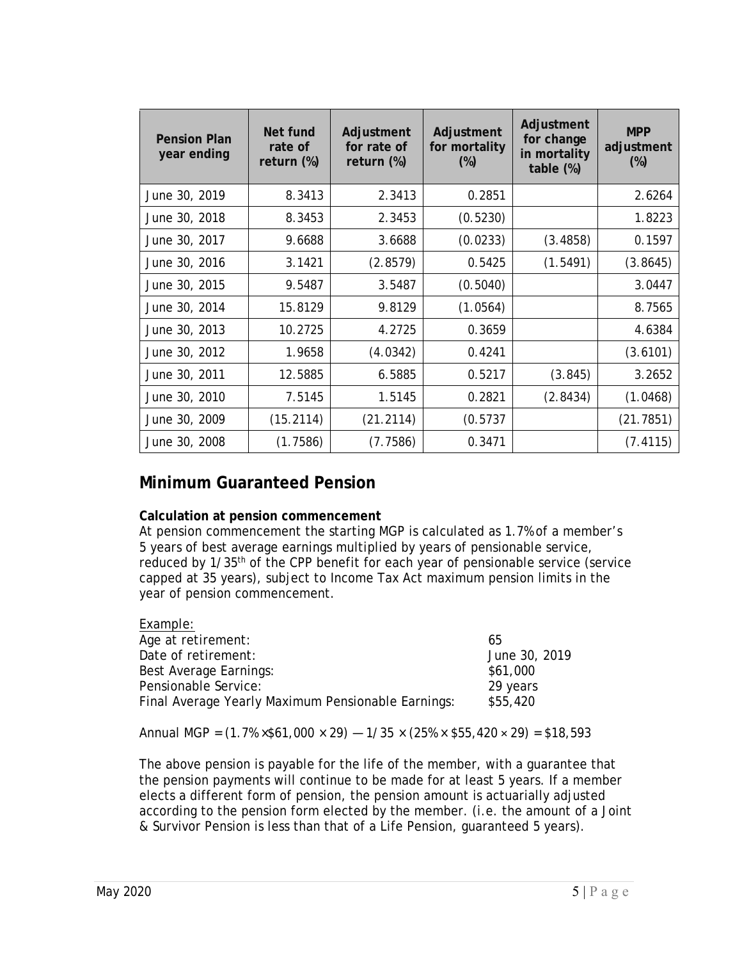| <b>Pension Plan</b><br>year ending | Net fund<br>rate of<br>return $(\%)$ | Adjustment<br>for rate of<br>return $(\%)$ | Adjustment<br>for mortality<br>$(\%)$ | Adjustment<br>for change<br>in mortality<br>table (%) | <b>MPP</b><br>adjustment<br>$(\%)$ |
|------------------------------------|--------------------------------------|--------------------------------------------|---------------------------------------|-------------------------------------------------------|------------------------------------|
| June 30, 2019                      | 8.3413                               | 2.3413                                     | 0.2851                                |                                                       | 2.6264                             |
| June 30, 2018                      | 8.3453                               | 2.3453                                     | (0.5230)                              |                                                       | 1.8223                             |
| June 30, 2017                      | 9.6688                               | 3.6688                                     | (0.0233)                              | (3.4858)                                              | 0.1597                             |
| June 30, 2016                      | 3.1421                               | (2.8579)                                   | 0.5425                                | (1.5491)                                              | (3.8645)                           |
| June 30, 2015                      | 9.5487                               | 3.5487                                     | (0.5040)                              |                                                       | 3.0447                             |
| June 30, 2014                      | 15.8129                              | 9.8129                                     | (1.0564)                              |                                                       | 8.7565                             |
| June 30, 2013                      | 10.2725                              | 4.2725                                     | 0.3659                                |                                                       | 4.6384                             |
| June 30, 2012                      | 1.9658                               | (4.0342)                                   | 0.4241                                |                                                       | (3.6101)                           |
| June 30, 2011                      | 12.5885                              | 6.5885                                     | 0.5217                                | (3.845)                                               | 3.2652                             |
| June 30, 2010                      | 7.5145                               | 1.5145                                     | 0.2821                                | (2.8434)                                              | (1.0468)                           |
| June 30, 2009                      | (15.2114)                            | (21.2114)                                  | (0.5737)                              |                                                       | (21.7851)                          |
| June 30, 2008                      | (1.7586)                             | (7.7586)                                   | 0.3471                                |                                                       | (7.4115)                           |

# **Minimum Guaranteed Pension**

## **Calculation at pension commencement**

At pension commencement the starting MGP is calculated as 1.7% of a member's 5 years of best average earnings multiplied by years of pensionable service, reduced by 1/35th of the CPP benefit for each year of pensionable service (service capped at 35 years), subject to Income Tax Act maximum pension limits in the year of pension commencement.

| Example:                                           |               |
|----------------------------------------------------|---------------|
| Age at retirement:                                 | 65            |
| Date of retirement:                                | June 30, 2019 |
| Best Average Earnings:                             | \$61,000      |
| Pensionable Service:                               | 29 years      |
| Final Average Yearly Maximum Pensionable Earnings: | \$55,420      |

Annual MGP =  $(1.7\% \times $61,000 \times 29) - 1/35 \times (25\% \times $55,420 \times 29) = $18,593$ 

The above pension is payable for the life of the member, with a guarantee that the pension payments will continue to be made for at least 5 years. If a member elects a different form of pension, the pension amount is actuarially adjusted according to the pension form elected by the member. (i.e. the amount of a Joint & Survivor Pension is less than that of a Life Pension, guaranteed 5 years).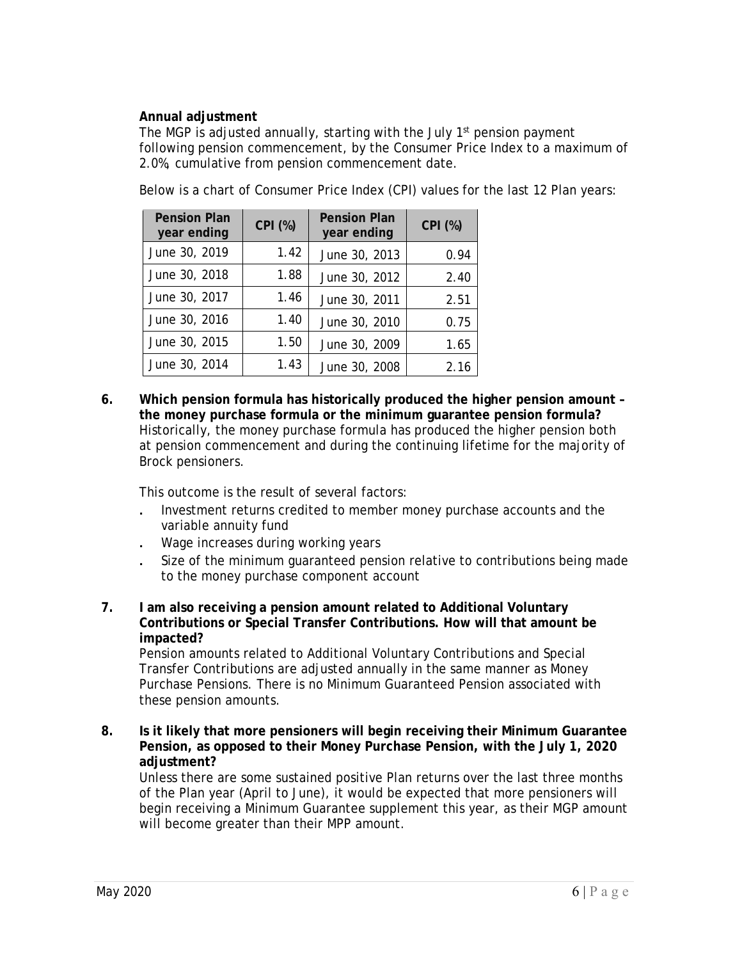## **Annual adjustment**

The MGP is adjusted annually, starting with the July 1<sup>st</sup> pension payment following pension commencement, by the Consumer Price Index to a maximum of 2.0%, cumulative from pension commencement date.

| <b>Pension Plan</b><br>year ending | CPI (%) | <b>Pension Plan</b><br>year ending | CPI (%) |
|------------------------------------|---------|------------------------------------|---------|
| June 30, 2019                      | 1.42    | June 30, 2013                      | 0.94    |
| June 30, 2018                      | 1.88    | June 30, 2012                      | 2.40    |
| June 30, 2017                      | 1.46    | June 30, 2011                      | 2.51    |
| June 30, 2016                      | 1.40    | June 30, 2010                      | 0.75    |
| June 30, 2015                      | 1.50    | June 30, 2009                      | 1.65    |
| June 30, 2014                      | 1.43    | June 30, 2008                      | 2.16    |

Below is a chart of Consumer Price Index (CPI) values for the last 12 Plan years:

**6. Which pension formula has historically produced the higher pension amount – the money purchase formula or the minimum guarantee pension formula?**  Historically, the money purchase formula has produced the higher pension both at pension commencement and during the continuing lifetime for the majority of Brock pensioners.

This outcome is the result of several factors:

- . Investment returns credited to member money purchase accounts and the variable annuity fund
- . Wage increases during working years
- . Size of the minimum guaranteed pension relative to contributions being made to the money purchase component account
- **7. I am also receiving a pension amount related to Additional Voluntary Contributions or Special Transfer Contributions. How will that amount be impacted?**

Pension amounts related to Additional Voluntary Contributions and Special Transfer Contributions are adjusted annually in the same manner as Money Purchase Pensions. There is no Minimum Guaranteed Pension associated with these pension amounts.

**8. Is it likely that more pensioners will begin receiving their Minimum Guarantee Pension, as opposed to their Money Purchase Pension, with the July 1, 2020 adjustment?** 

Unless there are some sustained positive Plan returns over the last three months of the Plan year (April to June), it would be expected that more pensioners will begin receiving a Minimum Guarantee supplement this year, as their MGP amount will become greater than their MPP amount.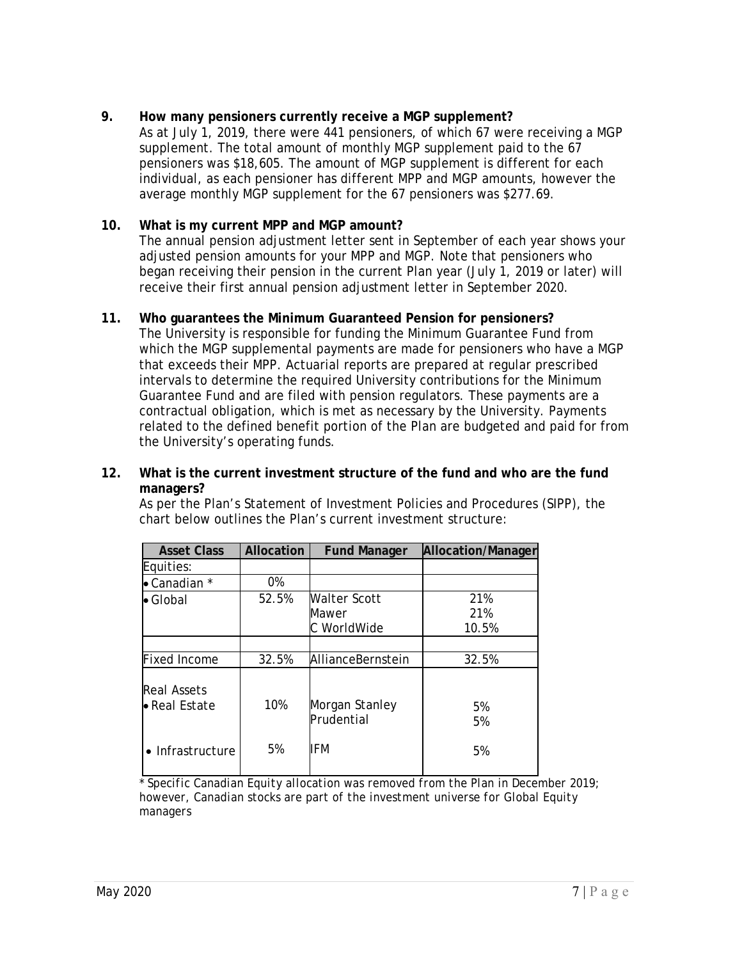## **9. How many pensioners currently receive a MGP supplement?**

As at July 1, 2019, there were 441 pensioners, of which 67 were receiving a MGP supplement. The total amount of monthly MGP supplement paid to the 67 pensioners was \$18,605. The amount of MGP supplement is different for each individual, as each pensioner has different MPP and MGP amounts, however the average monthly MGP supplement for the 67 pensioners was \$277.69.

## **10. What is my current MPP and MGP amount?**

The annual pension adjustment letter sent in September of each year shows your adjusted pension amounts for your MPP and MGP. Note that pensioners who began receiving their pension in the current Plan year (July 1, 2019 or later) will receive their first annual pension adjustment letter in September 2020.

## **11. Who guarantees the Minimum Guaranteed Pension for pensioners?**

The University is responsible for funding the Minimum Guarantee Fund from which the MGP supplemental payments are made for pensioners who have a MGP that exceeds their MPP. Actuarial reports are prepared at regular prescribed intervals to determine the required University contributions for the Minimum Guarantee Fund and are filed with pension regulators. These payments are a contractual obligation, which is met as necessary by the University. Payments related to the defined benefit portion of the Plan are budgeted and paid for from the University's operating funds.

#### **12. What is the current investment structure of the fund and who are the fund managers?**

As per the Plan's Statement of Investment Policies and Procedures (SIPP), the chart below outlines the Plan's current investment structure:

| <b>Asset Class</b>                  | Allocation | <b>Fund Manager</b>          | Allocation/Manager |
|-------------------------------------|------------|------------------------------|--------------------|
| Equities:                           |            |                              |                    |
| • Canadian *                        | 0%         |                              |                    |
| $\bullet$ Global                    | 52.5%      | <b>Walter Scott</b>          | 21%                |
|                                     |            | Mawer                        | 21%                |
|                                     |            | C WorldWide                  | 10.5%              |
|                                     |            |                              |                    |
| <b>Fixed Income</b>                 | 32.5%      | AllianceBernstein            | 32.5%              |
| <b>Real Assets</b><br>• Real Estate | 10%        | Morgan Stanley<br>Prudential | 5%<br>5%           |
| $\bullet$ Infrastructure            | 5%         | IFM                          | 5%                 |

*\* Specific Canadian Equity allocation was removed from the Plan in December 2019; however, Canadian stocks are part of the investment universe for Global Equity managers*